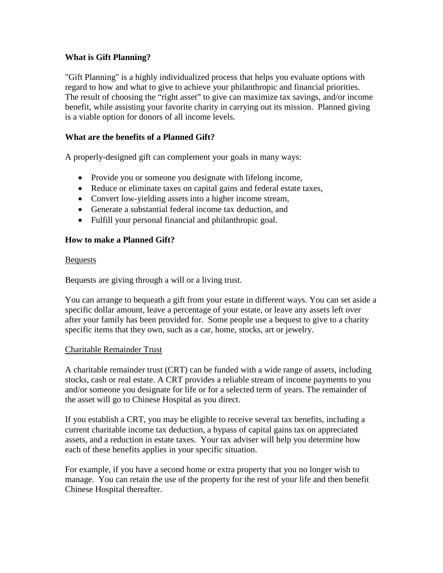# **What is Gift Planning?**

"Gift Planning" is a highly individualized process that helps you evaluate options with regard to how and what to give to achieve your philanthropic and financial priorities. The result of choosing the "right asset" to give can maximize tax savings, and/or income benefit, while assisting your favorite charity in carrying out its mission. Planned giving is a viable option for donors of all income levels.

# **What are the benefits of a Planned Gift?**

A properly-designed gift can complement your goals in many ways:

- Provide you or someone you designate with lifelong income,
- Reduce or eliminate taxes on capital gains and federal estate taxes,
- Convert low-yielding assets into a higher income stream,
- Generate a substantial federal income tax deduction, and
- Fulfill your personal financial and philanthropic goal.

## **How to make a Planned Gift?**

## Bequests

Bequests are giving through a will or a living trust.

You can arrange to bequeath a gift from your estate in different ways. You can set aside a specific dollar amount, leave a percentage of your estate, or leave any assets left over after your family has been provided for. Some people use a bequest to give to a charity specific items that they own, such as a car, home, stocks, art or jewelry.

## Charitable Remainder Trust

A charitable remainder trust (CRT) can be funded with a wide range of assets, including stocks, cash or real estate. A CRT provides a reliable stream of income payments to you and/or someone you designate for life or for a selected term of years. The remainder of the asset will go to Chinese Hospital as you direct.

If you establish a CRT, you may be eligible to receive several tax benefits, including a current charitable income tax deduction, a bypass of capital gains tax on appreciated assets, and a reduction in estate taxes. Your tax adviser will help you determine how each of these benefits applies in your specific situation.

For example, if you have a second home or extra property that you no longer wish to manage. You can retain the use of the property for the rest of your life and then benefit Chinese Hospital thereafter.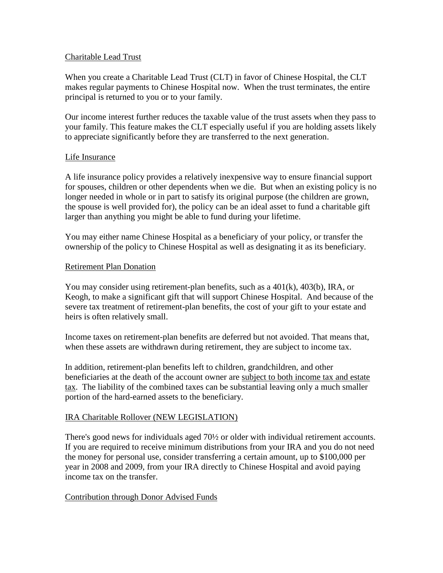### Charitable Lead Trust

When you create a Charitable Lead Trust (CLT) in favor of Chinese Hospital, the CLT makes regular payments to Chinese Hospital now. When the trust terminates, the entire principal is returned to you or to your family.

Our income interest further reduces the taxable value of the trust assets when they pass to your family. This feature makes the CLT especially useful if you are holding assets likely to appreciate significantly before they are transferred to the next generation.

#### Life Insurance

A life insurance policy provides a relatively inexpensive way to ensure financial support for spouses, children or other dependents when we die. But when an existing policy is no longer needed in whole or in part to satisfy its original purpose (the children are grown, the spouse is well provided for), the policy can be an ideal asset to fund a charitable gift larger than anything you might be able to fund during your lifetime.

You may either name Chinese Hospital as a beneficiary of your policy, or transfer the ownership of the policy to Chinese Hospital as well as designating it as its beneficiary.

## Retirement Plan Donation

You may consider using retirement-plan benefits, such as a  $401(k)$ ,  $403(b)$ , IRA, or Keogh, to make a significant gift that will support Chinese Hospital. And because of the severe tax treatment of retirement-plan benefits, the cost of your gift to your estate and heirs is often relatively small.

Income taxes on retirement-plan benefits are deferred but not avoided. That means that, when these assets are withdrawn during retirement, they are subject to income tax.

In addition, retirement-plan benefits left to children, grandchildren, and other beneficiaries at the death of the account owner are subject to both income tax and estate tax. The liability of the combined taxes can be substantial leaving only a much smaller portion of the hard-earned assets to the beneficiary.

## IRA Charitable Rollover (NEW LEGISLATION)

There's good news for individuals aged 70½ or older with individual retirement accounts. If you are required to receive minimum distributions from your IRA and you do not need the money for personal use, consider transferring a certain amount, up to \$100,000 per year in 2008 and 2009, from your IRA directly to Chinese Hospital and avoid paying income tax on the transfer.

## Contribution through Donor Advised Funds